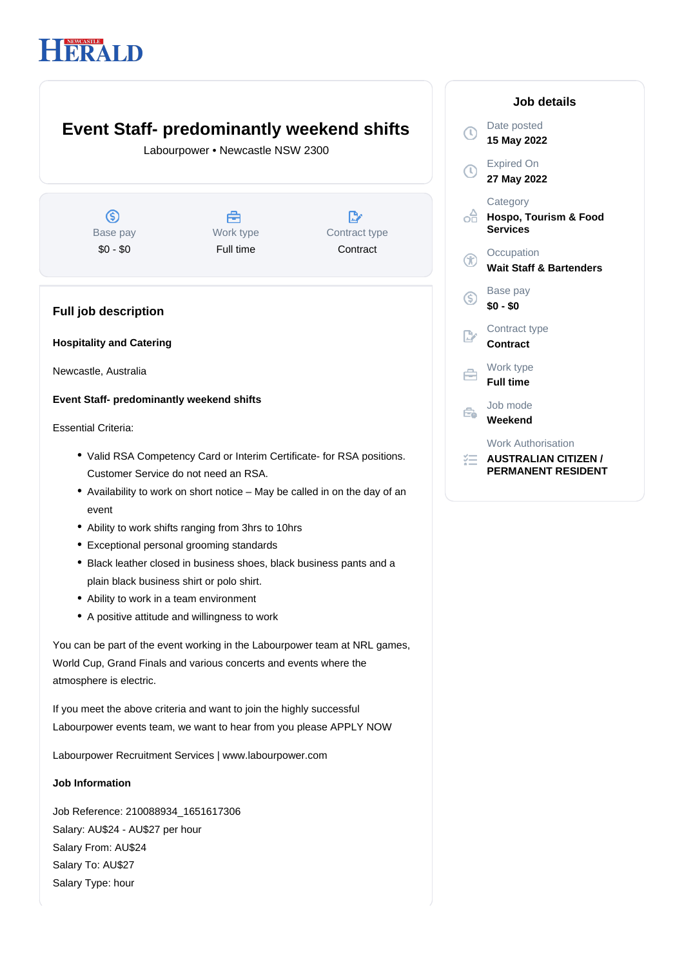# HERALD

# **Event Staff- predominantly weekend shifts**

Labourpower • Newcastle NSW 2300

 $\circledS$ Base pay \$0 - \$0



 $\mathbb{R}^n$ Contract type **Contract** 

## **Full job description**

**Hospitality and Catering**

Newcastle, Australia

### **Event Staff- predominantly weekend shifts**

Essential Criteria:

- Valid RSA Competency Card or Interim Certificate- for RSA positions. Customer Service do not need an RSA.
- Availability to work on short notice May be called in on the day of an event
- Ability to work shifts ranging from 3hrs to 10hrs
- Exceptional personal grooming standards
- Black leather closed in business shoes, black business pants and a plain black business shirt or polo shirt.
- Ability to work in a team environment
- A positive attitude and willingness to work

You can be part of the event working in the Labourpower team at NRL games, World Cup, Grand Finals and various concerts and events where the atmosphere is electric.

If you meet the above criteria and want to join the highly successful Labourpower events team, we want to hear from you please APPLY NOW

Labourpower Recruitment Services | www.labourpower.com

#### **Job Information**

Job Reference: 210088934\_1651617306 Salary: AU\$24 - AU\$27 per hour Salary From: AU\$24 Salary To: AU\$27 Salary Type: hour

|             | Job details                                                                           |
|-------------|---------------------------------------------------------------------------------------|
| T           | Date posted<br>15 May 2022                                                            |
| $\mathbb O$ | <b>Expired On</b><br>27 May 2022                                                      |
| эÂ          | Category<br>Hospo, Tourism & Food<br><b>Services</b>                                  |
| Æ           | Occupation<br><b>Wait Staff &amp; Bartenders</b>                                      |
| ⑤           | Base pay<br>$$0 - $0$                                                                 |
|             | Contract type<br><b>Contract</b>                                                      |
| €           | Work type<br><b>Full time</b>                                                         |
| ₹           | Job mode<br>Weekend                                                                   |
|             | <b>Work Authorisation</b><br><b>AUSTRALIAN CITIZEN /</b><br><b>PERMANENT RESIDENT</b> |